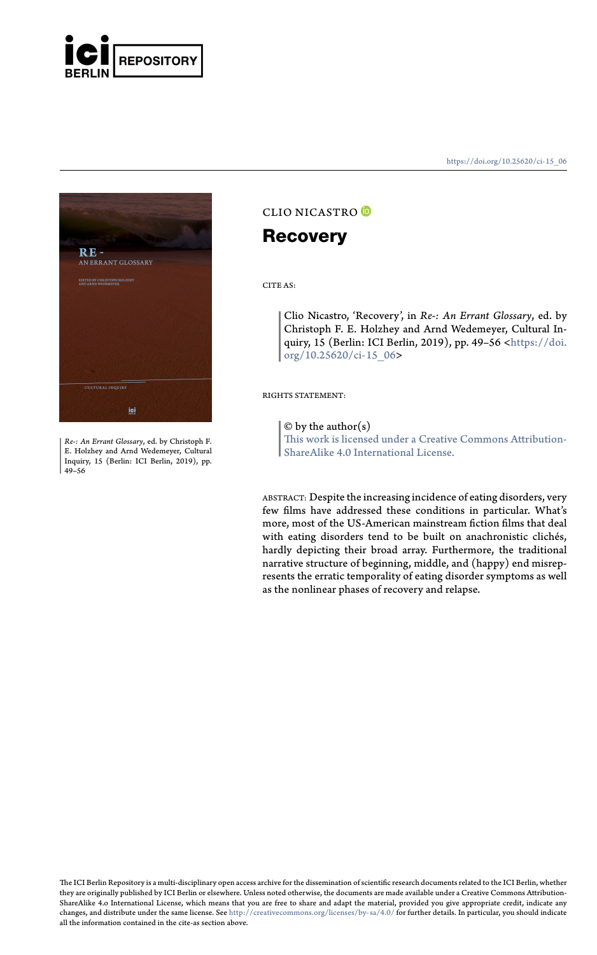



*Re-: An Errant Glossary*, ed. by Christoph F. E. Holzhey and Arnd Wedemeyer, Cultural Inquiry, 15 (Berlin: ICI Berlin, 2019), pp. 49–56

https://doi.org/10.25620/ci- 15\_06

## CLIO NICASTRO

### **Recovery**

CITE AS:

Clio Nicastro, 'Recovery', in *Re-: An Errant Glossary*, ed. by Christoph F. E. Holzhey and Arnd Wedemeyer, Cultural Inquiry, 15 (Berlin: ICI Berlin, 2019), pp. 49–56 <https://doi. org/10.25620/ci-15\_06>

RIGHTS STATEMENT:

#### $\ensuremath{\mathbb{O}}$  by the author(s)

This work is licensed under a Creative Commons Attribution-ShareAlike 4.0 International License.

ABSTRACT: Despite the increasing incidence of eating disorders, very few films have addressed these conditions in particular. What's more, most of the US-American mainstream fiction films that deal with eating disorders tend to be built on anachronistic clichés, [hardly depicting their broad](http://creativecommons.org/licenses/by-sa/4.0/) array. Furthermore, the traditional narrative structure of beginning, middle, and (happy) end misrep-resents the erratic temporality of eating disorder symptoms as well as the nonlinear phases of recovery and relapse.

The ICI Berlin Repository is a multi-disciplinary open access archive for the dissemination of scientific research documents related to the ICI Berlin, whether<br>they are originally published by ICI Berlin or elsewhere. Unle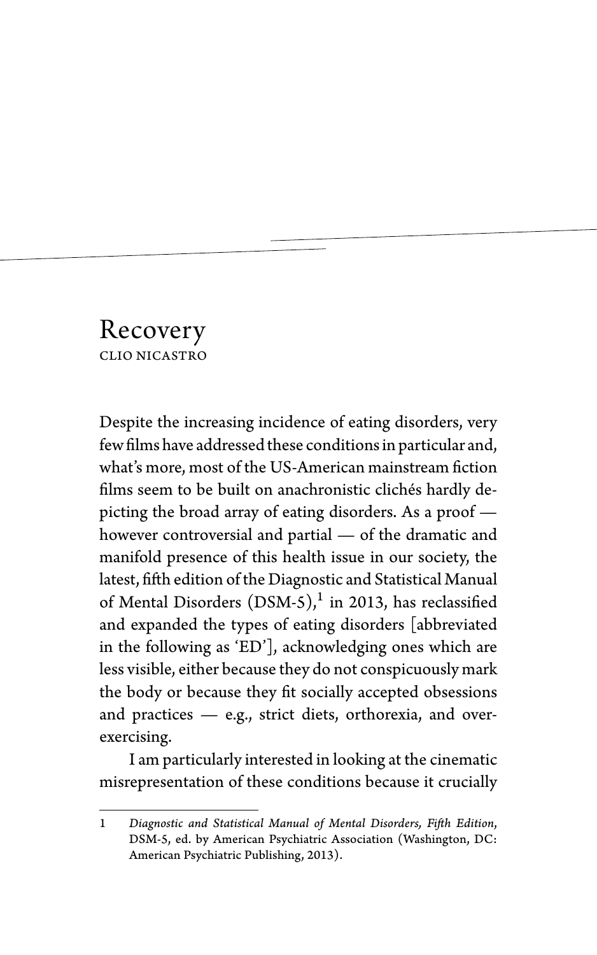# Recovery CLIO NICASTRO

Despite the increasing incidence of eating disorders, very few films have addressed these conditions in particular and, what's more, most of the US-American mainstream fiction films seem to be built on anachronistic clichés hardly depicting the broad array of eating disorders. As a proof however controversial and partial — of the dramatic and manifold presence of this health issue in our society, the latest, fifth edition of the Diagnostic and Statistical Manual of Mental Disorders  $(DSM-5),<sup>1</sup>$  in 2013, has reclassified and expanded the types of eating disorders [abbreviated in the following as 'ED'], acknowledging ones which are less visible, either because they do not conspicuously mark the body or because they fit socially accepted obsessions and practices — e.g., strict diets, orthorexia, and overexercising.

I am particularly interested in looking at the cinematic misrepresentation of these conditions because it crucially

<sup>1</sup> *Diagnostic and Statistical Manual of Mental Disorders, Fifth Edition*, DSM-5, ed. by American Psychiatric Association (Washington, DC: American Psychiatric Publishing, 2013).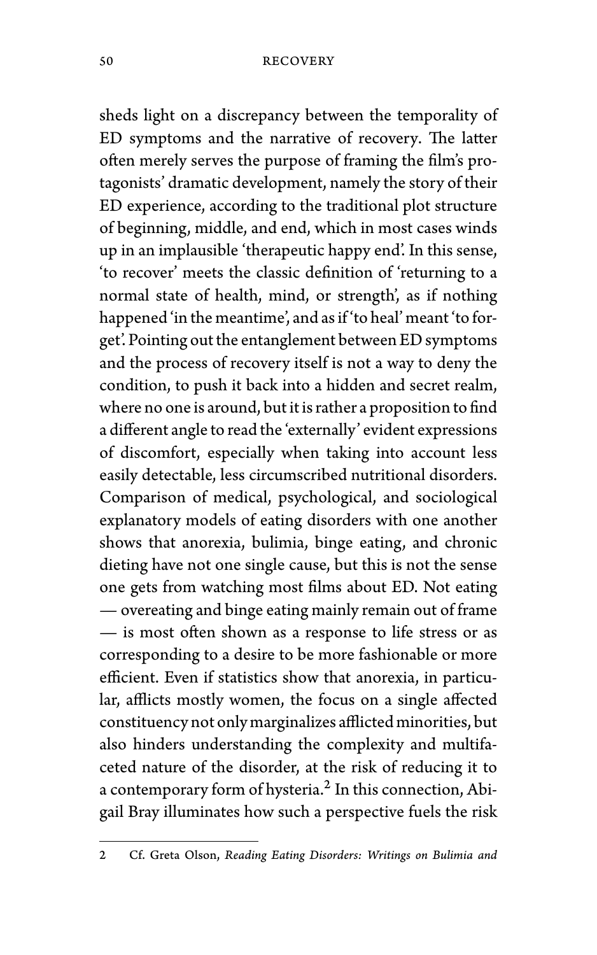sheds light on a discrepancy between the temporality of ED symptoms and the narrative of recovery. The latter often merely serves the purpose of framing the film's protagonists' dramatic development, namely the story of their ED experience, according to the traditional plot structure of beginning, middle, and end, which in most cases winds up in an implausible 'therapeutic happy end'. In this sense, 'to recover' meets the classic definition of 'returning to a normal state of health, mind, or strength', as if nothing happened 'in the meantime', and as if 'to heal' meant 'to forget'. Pointing out the entanglement between ED symptoms and the process of recovery itself is not a way to deny the condition, to push it back into a hidden and secret realm, where no one is around, but it is rather a proposition to find a different angle to read the 'externally' evident expressions of discomfort, especially when taking into account less easily detectable, less circumscribed nutritional disorders. Comparison of medical, psychological, and sociological explanatory models of eating disorders with one another shows that anorexia, bulimia, binge eating, and chronic dieting have not one single cause, but this is not the sense one gets from watching most films about ED. Not eating — overeating and binge eating mainly remain out of frame — is most often shown as a response to life stress or as corresponding to a desire to be more fashionable or more efficient. Even if statistics show that anorexia, in particular, afflicts mostly women, the focus on a single affected constituency not only marginalizes afflicted minorities, but also hinders understanding the complexity and multifaceted nature of the disorder, at the risk of reducing it to a contemporary form of hysteria.<sup>2</sup> In this connection, Abigail Bray illuminates how such a perspective fuels the risk

<sup>2</sup> Cf. Greta Olson, *Reading Eating Disorders: Writings on Bulimia and*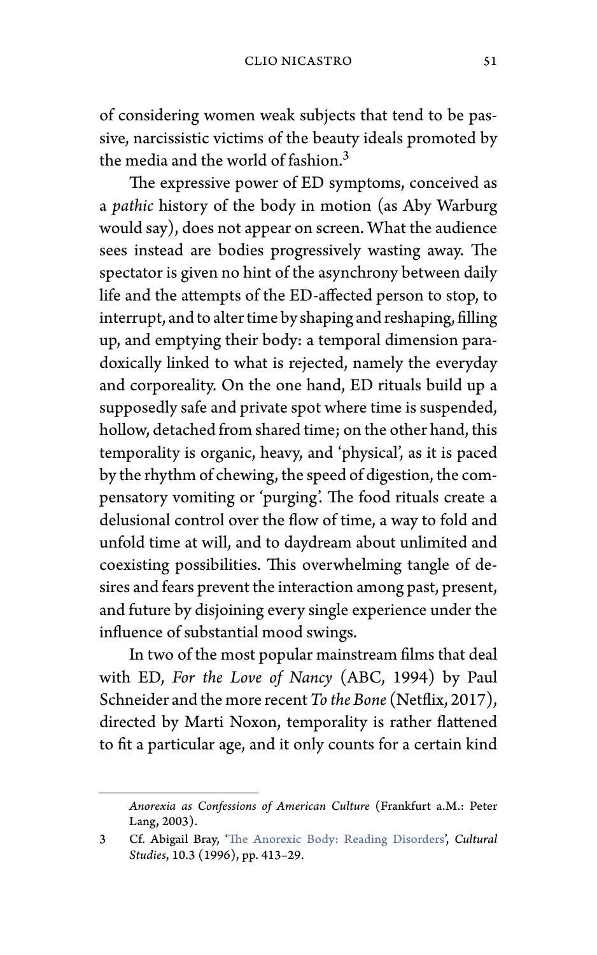### CLIO NICASTRO 51

of considering women weak subjects that tend to be passive, narcissistic victims of the beauty ideals promoted by the media and the world of fashion.<sup>3</sup>

The expressive power of ED symptoms, conceived as a *pathic* history of the body in motion (as Aby Warburg would say), does not appear on screen. What the audience sees instead are bodies progressively wasting away. The spectator is given no hint of the asynchrony between daily life and the attempts of the ED-affected person to stop, to interrupt, and to alter time by shaping and reshaping, filling up, and emptying their body: a temporal dimension paradoxically linked to what is rejected, namely the everyday and corporeality. On the one hand, ED rituals build up a supposedly safe and private spot where time is suspended, hollow, detached from shared time; on the other hand, this temporality is organic, heavy, and 'physical', as it is paced by the rhythm of c[hewing, the speed of digestion, th](https://doi.org/10.1080/09502389600490251)e compensatory vomiting or 'purging'. The food rituals create a delusional control over the flow of time, a way to fold and unfold time at will, and to daydream about unlimited and coexisting possibilities. This overwhelming tangle of desires and fears prevent the interaction among past, present, and future by disjoining every single experience under the influence of substantial mood swings.

In two of the most popular mainstream films that deal with ED, *For the Love of Nancy* (ABC, 1994) by Paul Schneider and the more recent*To the Bone* (Netflix, 2017), directed by Marti Noxon, temporality is rather flattened to fit a particular age, and it only counts for a certain kind

*Anorexia as Confessions of American Culture* (Frankfurt a.M.: Peter Lang, 2003).

<sup>3</sup> Cf. Abigail Bray, 'The Anorexic Body: Reading Disorders', *Cultural Studies*, 10.3 (1996), pp. 413–29.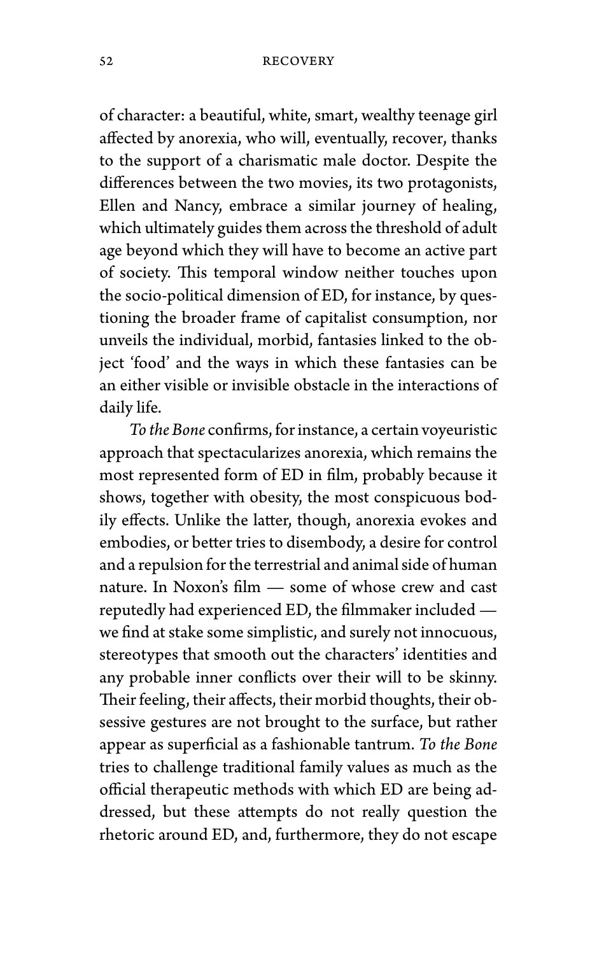of character: a beautiful, white, smart, wealthy teenage girl affected by anorexia, who will, eventually, recover, thanks to the support of a charismatic male doctor. Despite the differences between the two movies, its two protagonists, Ellen and Nancy, embrace a similar journey of healing, which ultimately guides them across the threshold of adult age beyond which they will have to become an active part of society. This temporal window neither touches upon the socio-political dimension of ED, for instance, by questioning the broader frame of capitalist consumption, nor unveils the individual, morbid, fantasies linked to the object 'food' and the ways in which these fantasies can be an either visible or invisible obstacle in the interactions of daily life.

*To the Bone* confirms, for instance, a certain voyeuristic approach that spectacularizes anorexia, which remains the most represented form of ED in film, probably because it shows, together with obesity, the most conspicuous bodily effects. Unlike the latter, though, anorexia evokes and embodies, or better tries to disembody, a desire for control and a repulsion for the terrestrial and animal side of human nature. In Noxon's film — some of whose crew and cast reputedly had experienced ED, the filmmaker included we find at stake some simplistic, and surely not innocuous, stereotypes that smooth out the characters' identities and any probable inner conflicts over their will to be skinny. Their feeling, their affects, their morbid thoughts, their obsessive gestures are not brought to the surface, but rather appear as superficial as a fashionable tantrum. *To the Bone* tries to challenge traditional family values as much as the official therapeutic methods with which ED are being addressed, but these attempts do not really question the rhetoric around ED, and, furthermore, they do not escape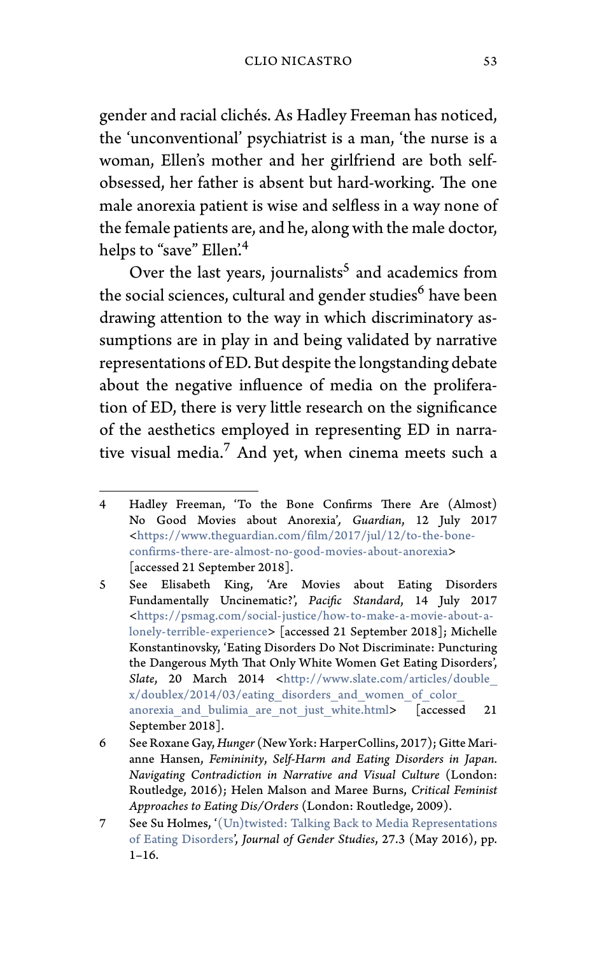### CLIO NICASTRO 53

gender and racial clichés. As Hadley Freeman has noticed, the 'unconventional' psychiatrist is a man, 'the nurse is a woman, Ellen's mother and her girlfriend are both selfobs[essed, her father is absent but hard-working. The o](https://www.theguardian.com/film/2017/jul/12/to-the-bone-confirms-there-are-almost-no-good-movies-about-anorexia)ne male anorexia patient is wise and selfless in a way none of the female patients are, and he, along with the male doctor, helps [to "save" Ellen'.](https://psmag.com/social-justice/how-to-make-a-movie-about-a-lonely-terrible-experience)<sup>4</sup>

[Over the last years,](https://psmag.com/social-justice/how-to-make-a-movie-about-a-lonely-terrible-experience) journalists<sup>5</sup> and academics from the social sciences, cultural and gender studies<sup>6</sup> have been drawing attention to the [way in which discriminatory as](http://www.slate.com/articles/double_x/doublex/2014/03/eating_disorders_and_women_of_color_anorexia_and_bulimia_are_not_just_white.html)sum[ptions are in play in and being validated by narr](http://www.slate.com/articles/double_x/doublex/2014/03/eating_disorders_and_women_of_color_anorexia_and_bulimia_are_not_just_white.html)ative representations of ED. But despite the longstanding debate about the negative influence of media on the proliferation of ED, there is very little research on the significance of the aesthetics employed in representing ED in narrative visual media. $7$  [And yet, when cinema meets such a](https://doi.org/10.1080/09589236.2016.1181539)

<sup>4</sup> Hadley Freeman, 'To the Bone Confirms There Are (Almost) No Good Movies about Anorexia'*, Guardian*, 12 July 2017 <https://www.theguardian.com/film/2017/jul/12/to-the-boneconfirms-there-are-almost-no-good-movies-about-anorexia> [accessed 21 September 2018].

<sup>5</sup> See Elisabeth King, 'Are Movies about Eating Disorders Fundamentally Uncinematic?', *Pacific Standard*, 14 July 2017 <https://psmag.com/social-justice/how-to-make-a-movie-about-alonely-terrible-experience> [accessed 21 September 2018]; Michelle Konstantinovsky, 'Eating Disorders Do Not Discriminate: Puncturing the Dangerous Myth That Only White Women Get Eating Disorders', Slate, 20 March 2014 <http://www.slate.com/articles/double\_ x/doublex/2014/03/eating\_disorders\_and\_women\_of\_color\_ anorexia and bulimia are not just white.html> [accessed 21 September 2018].

<sup>6</sup> See Roxane Gay,*Hunger* (New York: HarperCollins, 2017); Gitte Marianne Hansen, *Femininity*, *Self-Harm and Eating Disorders in Japan. Navigating Contradiction in Narrative and Visual Culture* (London: Routledge, 2016); Helen Malson and Maree Burns, *Critical Feminist Approaches to Eating Dis/Orders* (London: Routledge, 2009).

<sup>7</sup> See Su Holmes, '(Un)twisted: Talking Back to Media Representations of Eating Disorders', *Journal of Gender Studies*, 27.3 (May 2016), pp. 1–16.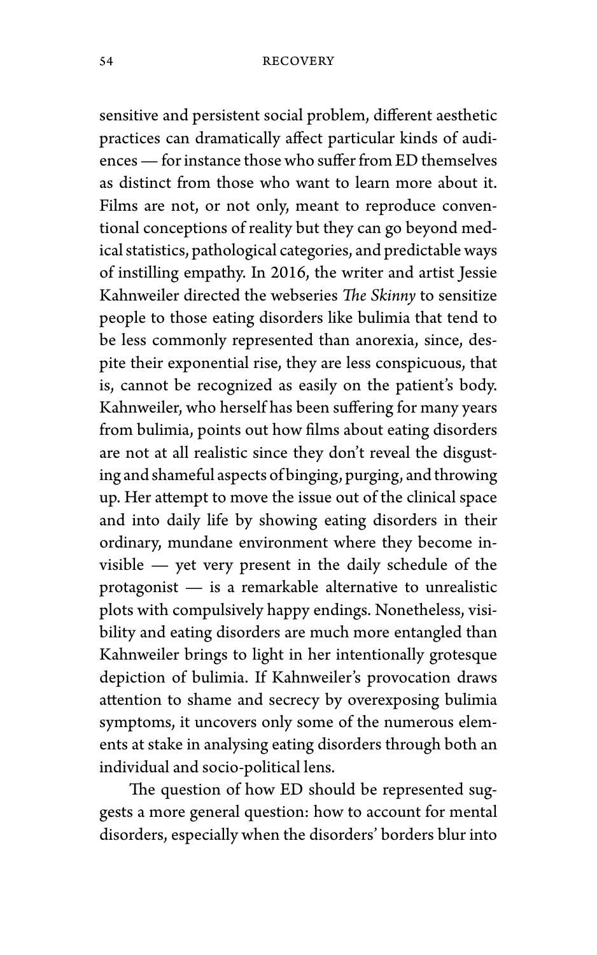sensitive and persistent social problem, different aesthetic practices can dramatically affect particular kinds of audiences— for instance those who suffer from ED themselves as distinct from those who want to learn more about it. Films are not, or not only, meant to reproduce conventional conceptions of reality but they can go beyond medical statistics, pathological categories, and predictable ways of instilling empathy. In 2016, the writer and artist Jessie Kahnweiler directed the webseries *The Skinny* to sensitize people to those eating disorders like bulimia that tend to be less commonly represented than anorexia, since, despite their exponential rise, they are less conspicuous, that is, cannot be recognized as easily on the patient's body. Kahnweiler, who herself has been suffering for many years from bulimia, points out how films about eating disorders are not at all realistic since they don't reveal the disgusting and shameful aspects of binging, purging, and throwing up. Her attempt to move the issue out of the clinical space and into daily life by showing eating disorders in their ordinary, mundane environment where they become invisible — yet very present in the daily schedule of the protagonist — is a remarkable alternative to unrealistic plots with compulsively happy endings. Nonetheless, visibility and eating disorders are much more entangled than Kahnweiler brings to light in her intentionally grotesque depiction of bulimia. If Kahnweiler's provocation draws attention to shame and secrecy by overexposing bulimia symptoms, it uncovers only some of the numerous elements at stake in analysing eating disorders through both an individual and socio-political lens.

The question of how ED should be represented suggests a more general question: how to account for mental disorders, especially when the disorders' borders blur into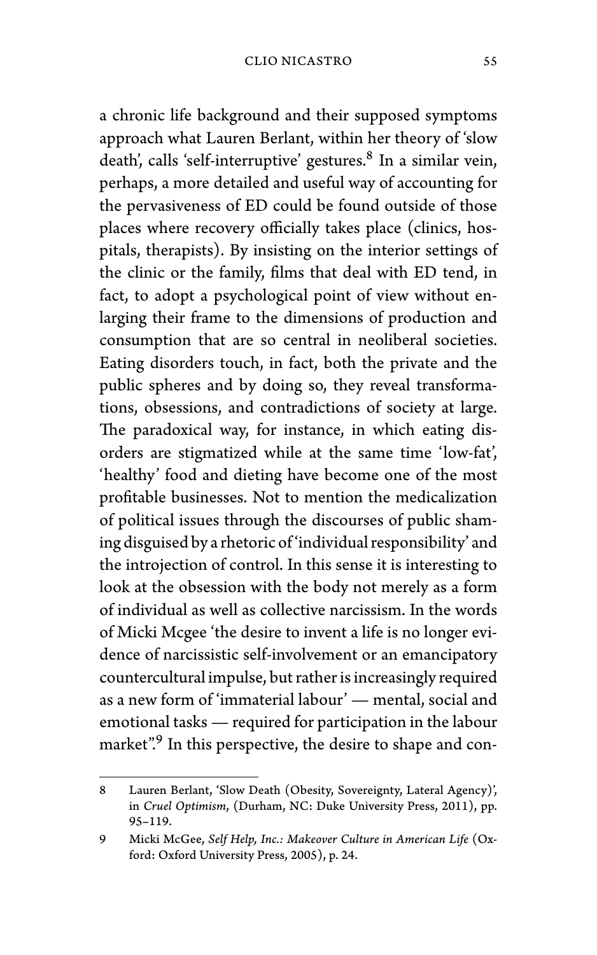a chronic life background and their supposed symptoms approach what Lauren Berlant, within her theory of 'slow death', calls 'self-interruptive' gestures.<sup>8</sup> In a similar vein, perhaps, a more detailed and useful way of accounting for the pervasiveness of ED could be found outside of those places where recovery officially takes place (clinics, hospitals, therapists). By insisting on the interior settings of the clinic or the family, films that deal with ED tend, in fact, to adopt a psychological point of view without enlarging their frame to the dimensions of production and consumption that are so central in neoliberal societies. Eating disorders touch, in fact, both the private and the public spheres and by doing so, they reveal transformations, obsessions, and contradictions of society at large. The paradoxical way, for instance, in which eating disorders are stigmatized while at the same time 'low-fat', 'healthy' food and dieting have become one of the most profitable businesses. Not to mention the medicalization of political issues through the discourses of public shaming disguised by a rhetoric of 'individual responsibility' and the introjection of control. In this sense it is interesting to look at the obsession with the body not merely as a form of individual as well as collective narcissism. In the words of Micki Mcgee 'the desire to invent a life is no longer evidence of narcissistic self-involvement or an emancipatory countercultural impulse, but rather is increasingly required as a new form of 'immaterial labour' — mental, social and emotional tasks — required for participation in the labour market".<sup>9</sup> In this perspective, the desire to shape and con-

<sup>8</sup> Lauren Berlant, 'Slow Death (Obesity, Sovereignty, Lateral Agency)', in *Cruel Optimism*, (Durham, NC: Duke University Press, 2011), pp. 95–119.

<sup>9</sup> Micki McGee, *Self Help, Inc.: Makeover Culture in American Life* (Oxford: Oxford University Press, 2005), p. 24.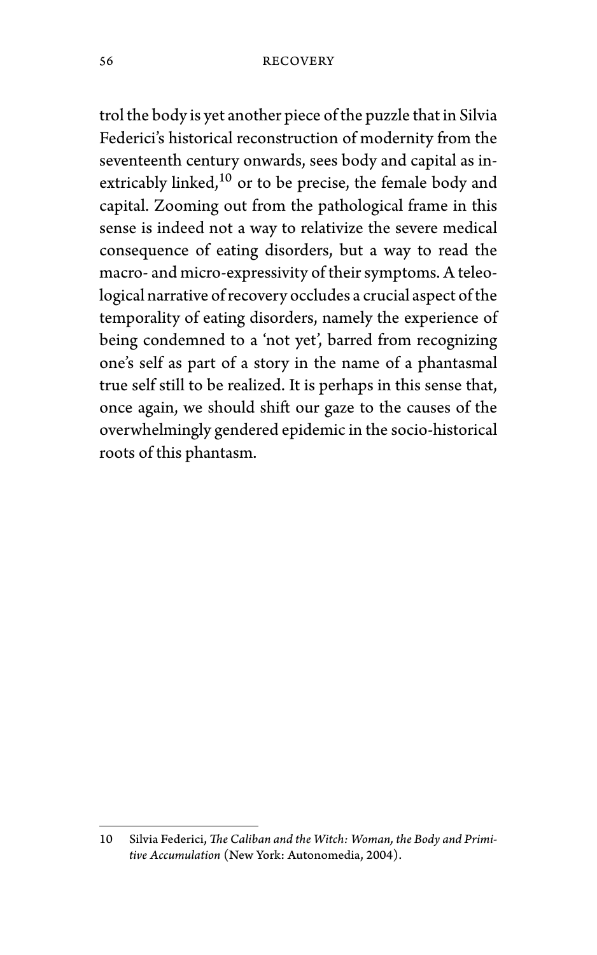trol the body is yet another piece of the puzzle that in Silvia Federici's historical reconstruction of modernity from the seventeenth century onwards, sees body and capital as inextricably linked,<sup>10</sup> or to be precise, the female body and capital. Zooming out from the pathological frame in this sense is indeed not a way to relativize the severe medical consequence of eating disorders, but a way to read the macro- and micro-expressivity of their symptoms. A teleological narrative of recovery occludes a crucial aspect of the temporality of eating disorders, namely the experience of being condemned to a 'not yet', barred from recognizing one's self as part of a story in the name of a phantasmal true self still to be realized. It is perhaps in this sense that, once again, we should shift our gaze to the causes of the overwhelmingly gendered epidemic in the socio-historical roots of this phantasm.

<sup>10</sup> Silvia Federici, *The Caliban and the Witch: Woman, the Body and Primitive Accumulation* (New York: Autonomedia, 2004).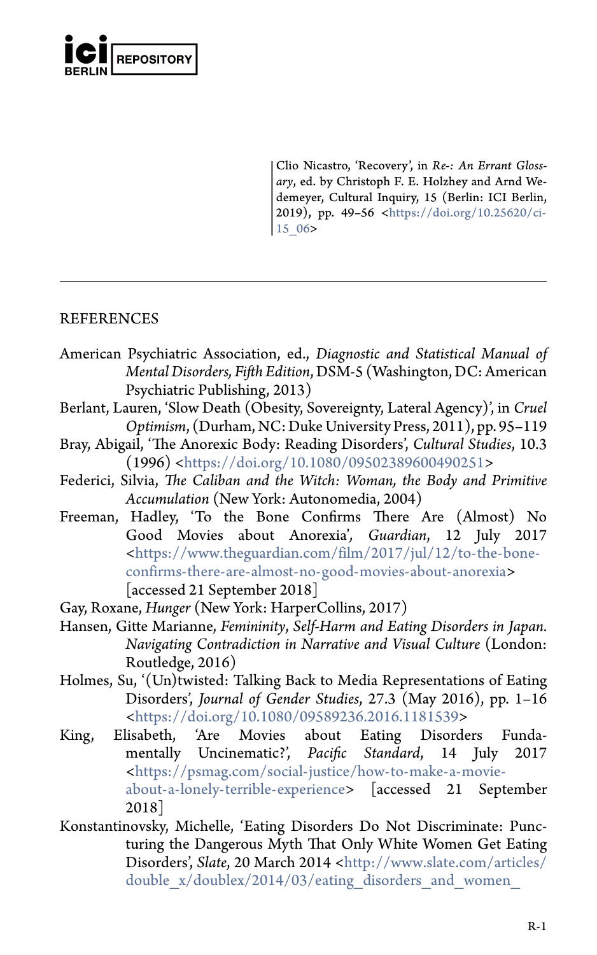

Clio Nicastro, 'Recovery', in *Re-: An Errant Glossary*, ed. by Christoph F. E. Holzhey and Arnd We[demeyer, Cultural Inquiry, 15 \(Berlin: ICI Berlin](https://www.theguardian.com/film/2017/jul/12/to-the-bone-confirms-there-are-almost-no-good-movies-about-anorexia), [2019\), pp. 49–56 <https://doi.org/10.25](https://www.theguardian.com/film/2017/jul/12/to-the-bone-confirms-there-are-almost-no-good-movies-about-anorexia)620/ci-15\_06>

## **REFERENCES**

- American [Psychiatric Association, ed.,](https://doi.org/10.1080/09589236.2016.1181539) *Diagnostic and Statistical Manual of Mental Disorders, Fifth Edition*, DSM-5 (Washington, DC: American Psychiatric Publishing, 2013)
- Berlant, La[uren, 'Slow Death \(Obesity, Sovereignty, Lateral Agency\)', in](https://psmag.com/social-justice/how-to-make-a-movie-about-a-lonely-terrible-experience) *Cruel Optimism*[, \(Durham, NC: Duke Un](https://psmag.com/social-justice/how-to-make-a-movie-about-a-lonely-terrible-experience)iversity Press, 2011), pp. 95–119
- Bray, Abigail, 'The Anorexic Body: Reading Disorders', *Cultural Studies*, 10.3 (1996) <https://doi.org/10.1080/09502389600490251>
- Federici, Silvia, *The Caliban and the Witch: Woman, the Body and Primitive Accumulation* (New York: Autono[media, 2004\)](http://www.slate.com/articles/double_x/doublex/2014/03/eating_disorders_and_women_of_color_anorexia_and_bulimia_are_not_just_white.html)
- Freeman, [Hadley, 'To the Bone Confirms There Are \(Almost\)](http://www.slate.com/articles/double_x/doublex/2014/03/eating_disorders_and_women_of_color_anorexia_and_bulimia_are_not_just_white.html) No Good Movies about Anorexia'*, Guardian*, 12 July 2017 <https://www.theguardian.com/film/2017/jul/12/to-the-boneconfirms-there-are-almost-no-good-movies-about-anorexia> [accessed 21 September 2018]

Gay, Roxane, *Hunger* (New York: HarperCollins, 2017)

- Hansen, Gitte Marianne, *Femininity*, *Self-Harm and Eating Disorders in Japan. Navigating Contradiction in Narrative and Visual Culture* (London: Routledge, 2016)
- Holmes, Su, '(Un)twisted: Talking Back to Media Representations of Eating Disorders', *Journal of Gender Studies*, 27.3 (May 2016), pp. 1–16 <https://doi.org/10.1080/09589236.2016.1181539>
- King, Elisabeth, 'Are Movies about Eating Disorders Fundamentally Uncinematic?', *Pacific Standard*, 14 July 2017 <https://psmag.com/social-justice/how-to-make-a-movieabout-a-lonely-terrible-experience> [accessed 21 September 2018]
- Konstantinovsky, Michelle, 'Eating Disorders Do Not Discriminate: Puncturing the Dangerous Myth That Only White Women Get Eating Disorders', *Slate*, 20 March 2014 <http://www.slate.com/articles/ double x/doublex/2014/03/eating\_disorders\_and\_women\_